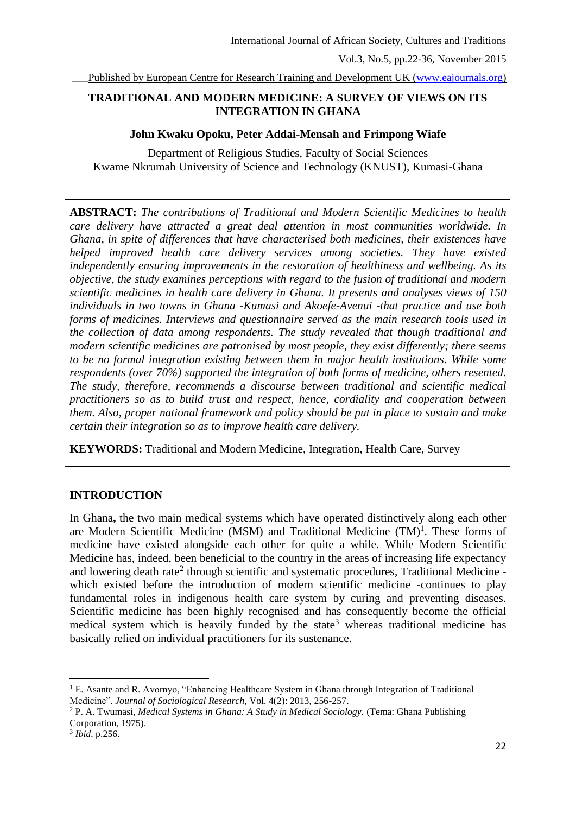Published by European Centre for Research Training and Development UK [\(www.eajournals.org\)](http://www.eajournals.org/)

# **TRADITIONAL AND MODERN MEDICINE: A SURVEY OF VIEWS ON ITS INTEGRATION IN GHANA**

## **John Kwaku Opoku, Peter Addai-Mensah and Frimpong Wiafe**

Department of Religious Studies, Faculty of Social Sciences Kwame Nkrumah University of Science and Technology (KNUST), Kumasi-Ghana

**ABSTRACT:** *The contributions of Traditional and Modern Scientific Medicines to health care delivery have attracted a great deal attention in most communities worldwide. In Ghana, in spite of differences that have characterised both medicines, their existences have helped improved health care delivery services among societies. They have existed independently ensuring improvements in the restoration of healthiness and wellbeing. As its objective, the study examines perceptions with regard to the fusion of traditional and modern scientific medicines in health care delivery in Ghana. It presents and analyses views of 150 individuals in two towns in Ghana -Kumasi and Akoefe-Avenui -that practice and use both forms of medicines. Interviews and questionnaire served as the main research tools used in the collection of data among respondents. The study revealed that though traditional and modern scientific medicines are patronised by most people, they exist differently; there seems to be no formal integration existing between them in major health institutions. While some respondents (over 70%) supported the integration of both forms of medicine, others resented. The study, therefore, recommends a discourse between traditional and scientific medical practitioners so as to build trust and respect, hence, cordiality and cooperation between them. Also, proper national framework and policy should be put in place to sustain and make certain their integration so as to improve health care delivery.*

**KEYWORDS:** Traditional and Modern Medicine, Integration, Health Care, Survey

### **INTRODUCTION**

In Ghana**,** the two main medical systems which have operated distinctively along each other are Modern Scientific Medicine (MSM) and Traditional Medicine (TM)<sup>1</sup>. These forms of medicine have existed alongside each other for quite a while. While Modern Scientific Medicine has, indeed, been beneficial to the country in the areas of increasing life expectancy and lowering death rate<sup>2</sup> through scientific and systematic procedures, Traditional Medicine which existed before the introduction of modern scientific medicine -continues to play fundamental roles in indigenous health care system by curing and preventing diseases. Scientific medicine has been highly recognised and has consequently become the official medical system which is heavily funded by the state<sup>3</sup> whereas traditional medicine has basically relied on individual practitioners for its sustenance.

1

 $<sup>1</sup>$  E. Asante and R. Avornyo, "Enhancing Healthcare System in Ghana through Integration of Traditional</sup> Medicine". *Journal of Sociological Research*, Vol. 4(2): 2013, 256-257.

<sup>2</sup> P. A. Twumasi, *Medical Systems in Ghana: A Study in Medical Sociology.* (Tema: Ghana Publishing Corporation, 1975).

<sup>3</sup> *Ibid*. p.256.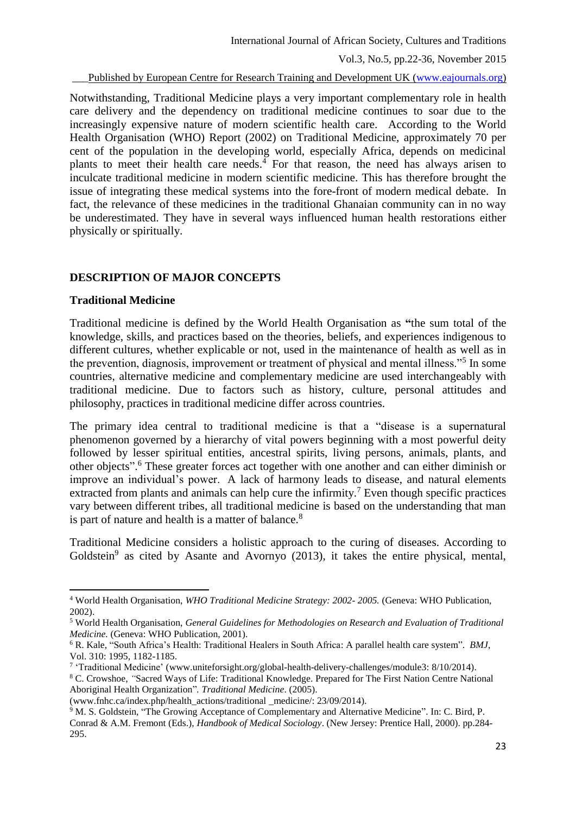Published by European Centre for Research Training and Development UK [\(www.eajournals.org\)](http://www.eajournals.org/)

Notwithstanding, Traditional Medicine plays a very important complementary role in health care delivery and the dependency on traditional medicine continues to soar due to the increasingly expensive nature of modern scientific health care. According to the World Health Organisation (WHO) Report (2002) on Traditional Medicine, approximately 70 per cent of the population in the developing world, especially Africa, depends on medicinal plants to meet their health care needs. <sup>4</sup> For that reason, the need has always arisen to inculcate traditional medicine in modern scientific medicine. This has therefore brought the issue of integrating these medical systems into the fore-front of modern medical debate. In fact, the relevance of these medicines in the traditional Ghanaian community can in no way be underestimated. They have in several ways influenced human health restorations either physically or spiritually.

### **DESCRIPTION OF MAJOR CONCEPTS**

#### **Traditional Medicine**

**.** 

Traditional medicine is defined by the World Health Organisation as **"**the sum total of the knowledge, skills, and practices based on the theories, beliefs, and experiences indigenous to different cultures, whether explicable or not, used in the maintenance of health as well as in the prevention, diagnosis, improvement or treatment of physical and mental illness."<sup>5</sup> In some countries, alternative medicine and complementary medicine are used interchangeably with traditional medicine. Due to factors such as history, culture, personal attitudes and philosophy, practices in traditional medicine differ across countries.

The primary idea central to traditional medicine is that a "disease is a supernatural phenomenon governed by a hierarchy of vital powers beginning with a most powerful deity followed by lesser spiritual entities, ancestral spirits, living persons, animals, plants, and other objects". <sup>6</sup> These greater forces act together with one another and can either diminish or improve an individual's power. A lack of harmony leads to disease, and natural elements extracted from plants and animals can help cure the infirmity.<sup>7</sup> Even though specific practices vary between different tribes, all traditional medicine is based on the understanding that man is part of nature and health is a matter of balance.<sup>8</sup>

Traditional Medicine considers a holistic approach to the curing of diseases. According to Goldstein<sup>9</sup> as cited by Asante and Avornyo (2013), it takes the entire physical, mental,

<sup>4</sup> World Health Organisation, *WHO Traditional Medicine Strategy: 2002- 2005.* (Geneva: WHO Publication, 2002).

<sup>5</sup> World Health Organisation, *General Guidelines for Methodologies on Research and Evaluation of Traditional Medicine.* (Geneva: WHO Publication, 2001).

<sup>6</sup> R. Kale, "South Africa's Health: Traditional Healers in South Africa: A parallel health care system". *BMJ*, Vol. 310: 1995, 1182-1185.

<sup>7</sup> 'Traditional Medicine' (www.uniteforsight.org/global-health-delivery-challenges/module3: 8/10/2014).

<sup>8</sup> C. Crowshoe, *"*Sacred Ways of Life: Traditional Knowledge. Prepared for The First Nation Centre National Aboriginal Health Organization"*. Traditional Medicine*. (2005).

<sup>(</sup>www.fnhc.ca/index.php/health\_actions/traditional \_medicine/: 23/09/2014).

<sup>9</sup> M. S. Goldstein, "The Growing Acceptance of Complementary and Alternative Medicine". In: C. Bird, P. Conrad & A.M. Fremont (Eds.), *Handbook of Medical Sociology*. (New Jersey: Prentice Hall, 2000). pp.284- 295.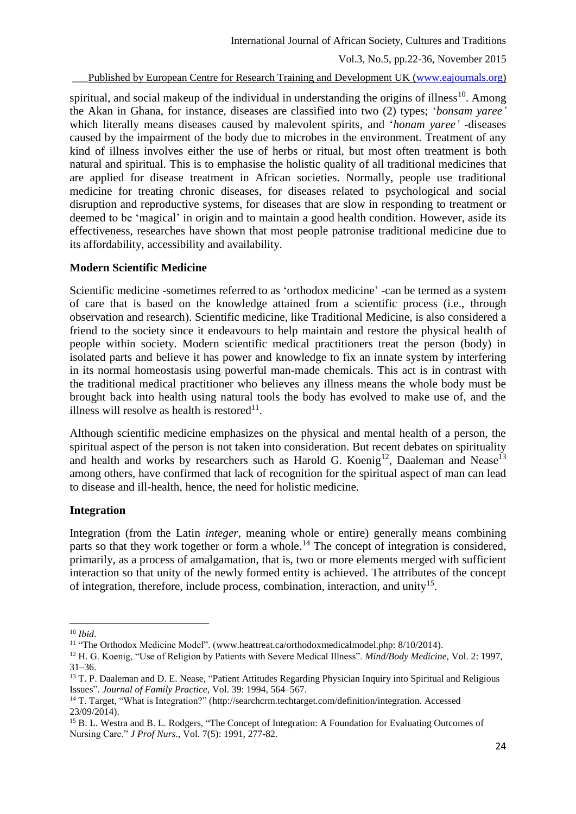Published by European Centre for Research Training and Development UK [\(www.eajournals.org\)](http://www.eajournals.org/)

spiritual, and social makeup of the individual in understanding the origins of illness<sup>10</sup>. Among the Akan in Ghana, for instance, diseases are classified into two (2) types; '*bonsam yaree'* which literally means diseases caused by malevolent spirits, and '*honam yaree'* -diseases caused by the impairment of the body due to microbes in the environment. Treatment of any kind of illness involves either the use of herbs or ritual, but most often treatment is both natural and spiritual. This is to emphasise the holistic quality of all traditional medicines that are applied for disease treatment in African societies. Normally, people use traditional medicine for treating chronic diseases, for diseases related to psychological and social disruption and reproductive systems, for diseases that are slow in responding to treatment or deemed to be 'magical' in origin and to maintain a good health condition. However, aside its effectiveness, researches have shown that most people patronise traditional medicine due to its affordability, accessibility and availability.

## **Modern Scientific Medicine**

Scientific medicine -sometimes referred to as 'orthodox medicine' -can be termed as a system of care that is based on the knowledge attained from a scientific process (i.e., through observation and research). Scientific medicine, like Traditional Medicine, is also considered a friend to the society since it endeavours to help maintain and restore the physical health of people within society. Modern scientific medical practitioners treat the person (body) in isolated parts and believe it has power and knowledge to fix an innate system by interfering in its normal homeostasis using powerful man-made chemicals. This act is in contrast with the traditional medical practitioner who believes any illness means the whole body must be brought back into health using natural tools the body has evolved to make use of, and the illness will resolve as health is restored $11$ .

Although scientific medicine emphasizes on the physical and mental health of a person, the spiritual aspect of the person is not taken into consideration. But recent debates on spirituality and health and works by researchers such as Harold G. Koenig<sup>12</sup>, Daaleman and Nease<sup>13</sup> among others, have confirmed that lack of recognition for the spiritual aspect of man can lead to disease and ill-health, hence, the need for holistic medicine.

### **Integration**

Integration (from the Latin *integer*, meaning whole or entire) generally means combining parts so that they work together or form a whole.<sup>14</sup> The concept of integration is considered, primarily, as a process of amalgamation, that is, two or more elements merged with sufficient interaction so that unity of the newly formed entity is achieved. The attributes of the concept of integration, therefore, include process, combination, interaction, and unity<sup>15</sup>.

**.** 

<sup>10</sup> *Ibid*.

<sup>&</sup>lt;sup>11</sup> "The Orthodox Medicine Model". (www.heattreat.ca/orthodoxmedicalmodel.php: 8/10/2014).

<sup>12</sup> H. G. Koenig, "Use of Religion by Patients with Severe Medical Illness". *Mind/Body Medicine,* Vol. 2: 1997, 31–36.

<sup>&</sup>lt;sup>13</sup> T. P. Daaleman and D. E. Nease, "Patient Attitudes Regarding Physician Inquiry into Spiritual and Religious Issues". *Journal of Family Practice*, Vol. 39: 1994, 564–567.

<sup>14</sup> T. Target, "What is Integration?" (http://searchcrm.techtarget.com/definition/integration. Accessed 23/09/2014).

<sup>&</sup>lt;sup>15</sup> B. L. Westra and B. L. Rodgers, "The Concept of Integration: A Foundation for Evaluating Outcomes of Nursing Care." *J Prof Nurs*., Vol. 7(5): 1991, 277-82.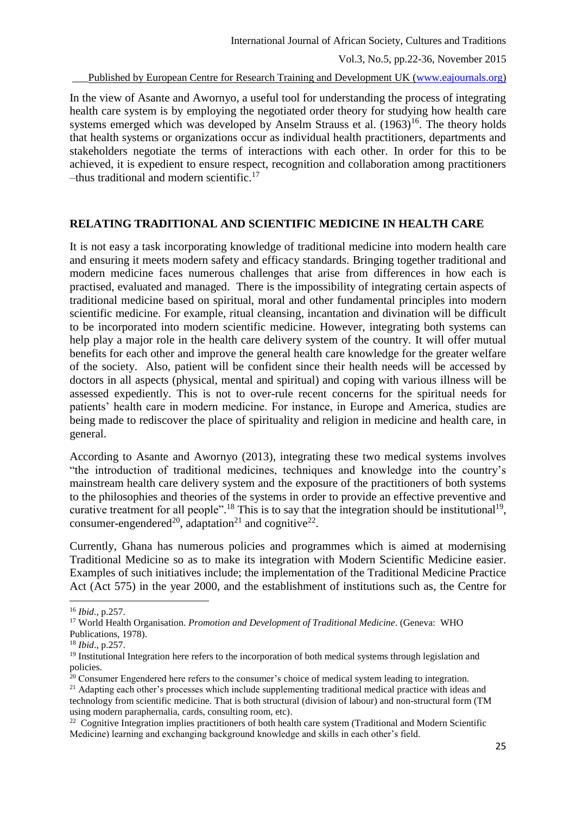Published by European Centre for Research Training and Development UK [\(www.eajournals.org\)](http://www.eajournals.org/)

In the view of Asante and Awornyo, a useful tool for understanding the process of integrating health care system is by employing the negotiated order theory for studying how health care systems emerged which was developed by Anselm Strauss et al.  $(1963)^{16}$ . The theory holds that health systems or organizations occur as individual health practitioners, departments and stakeholders negotiate the terms of interactions with each other. In order for this to be achieved, it is expedient to ensure respect, recognition and collaboration among practitioners –thus traditional and modern scientific. 17

## **RELATING TRADITIONAL AND SCIENTIFIC MEDICINE IN HEALTH CARE**

It is not easy a task incorporating knowledge of traditional medicine into modern health care and ensuring it meets modern safety and efficacy standards. Bringing together traditional and modern medicine faces numerous challenges that arise from differences in how each is practised, evaluated and managed. There is the impossibility of integrating certain aspects of traditional medicine based on spiritual, moral and other fundamental principles into modern scientific medicine. For example, ritual cleansing, incantation and divination will be difficult to be incorporated into modern scientific medicine. However, integrating both systems can help play a major role in the health care delivery system of the country. It will offer mutual benefits for each other and improve the general health care knowledge for the greater welfare of the society. Also, patient will be confident since their health needs will be accessed by doctors in all aspects (physical, mental and spiritual) and coping with various illness will be assessed expediently. This is not to over-rule recent concerns for the spiritual needs for patients' health care in modern medicine. For instance, in Europe and America, studies are being made to rediscover the place of spirituality and religion in medicine and health care, in general.

According to Asante and Awornyo (2013), integrating these two medical systems involves "the introduction of traditional medicines, techniques and knowledge into the country's mainstream health care delivery system and the exposure of the practitioners of both systems to the philosophies and theories of the systems in order to provide an effective preventive and curative treatment for all people".<sup>18</sup> This is to say that the integration should be institutional<sup>19</sup>, consumer-engendered<sup>20</sup>, adaptation<sup>21</sup> and cognitive<sup>22</sup>.

Currently, Ghana has numerous policies and programmes which is aimed at modernising Traditional Medicine so as to make its integration with Modern Scientific Medicine easier. Examples of such initiatives include; the implementation of the Traditional Medicine Practice Act (Act 575) in the year 2000, and the establishment of institutions such as, the Centre for

 $\overline{\phantom{a}}$ 

<sup>21</sup> Adapting each other's processes which include supplementing traditional medical practice with ideas and technology from scientific medicine. That is both structural (division of labour) and non-structural form (TM using modern paraphernalia, cards, consulting room, etc).

<sup>16</sup> *Ibid*., p.257.

<sup>17</sup> World Health Organisation. *Promotion and Development of Traditional Medicine*. (Geneva: WHO Publications, 1978).

<sup>18</sup> *Ibid*., p.257.

<sup>&</sup>lt;sup>19</sup> Institutional Integration here refers to the incorporation of both medical systems through legislation and policies.

 $20$  Consumer Engendered here refers to the consumer's choice of medical system leading to integration.

<sup>&</sup>lt;sup>22</sup> Cognitive Integration implies practitioners of both health care system (Traditional and Modern Scientific Medicine) learning and exchanging background knowledge and skills in each other's field.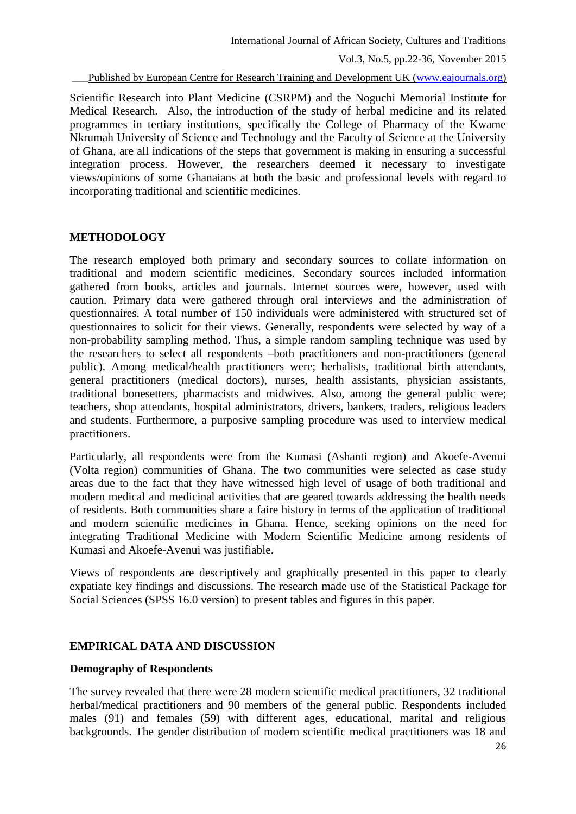Published by European Centre for Research Training and Development UK [\(www.eajournals.org\)](http://www.eajournals.org/)

Scientific Research into Plant Medicine (CSRPM) and the Noguchi Memorial Institute for Medical Research. Also, the introduction of the study of herbal medicine and its related programmes in tertiary institutions, specifically the College of Pharmacy of the Kwame Nkrumah University of Science and Technology and the Faculty of Science at the University of Ghana, are all indications of the steps that government is making in ensuring a successful integration process. However, the researchers deemed it necessary to investigate views/opinions of some Ghanaians at both the basic and professional levels with regard to incorporating traditional and scientific medicines.

### **METHODOLOGY**

The research employed both primary and secondary sources to collate information on traditional and modern scientific medicines. Secondary sources included information gathered from books, articles and journals. Internet sources were, however, used with caution. Primary data were gathered through oral interviews and the administration of questionnaires. A total number of 150 individuals were administered with structured set of questionnaires to solicit for their views. Generally, respondents were selected by way of a non-probability sampling method. Thus, a simple random sampling technique was used by the researchers to select all respondents –both practitioners and non-practitioners (general public). Among medical/health practitioners were; herbalists, traditional birth attendants, general practitioners (medical doctors), nurses, health assistants, physician assistants, traditional bonesetters, pharmacists and midwives. Also, among the general public were; teachers, shop attendants, hospital administrators, drivers, bankers, traders, religious leaders and students. Furthermore, a purposive sampling procedure was used to interview medical practitioners.

Particularly, all respondents were from the Kumasi (Ashanti region) and Akoefe-Avenui (Volta region) communities of Ghana. The two communities were selected as case study areas due to the fact that they have witnessed high level of usage of both traditional and modern medical and medicinal activities that are geared towards addressing the health needs of residents. Both communities share a faire history in terms of the application of traditional and modern scientific medicines in Ghana. Hence, seeking opinions on the need for integrating Traditional Medicine with Modern Scientific Medicine among residents of Kumasi and Akoefe-Avenui was justifiable.

Views of respondents are descriptively and graphically presented in this paper to clearly expatiate key findings and discussions. The research made use of the Statistical Package for Social Sciences (SPSS 16.0 version) to present tables and figures in this paper.

# **EMPIRICAL DATA AND DISCUSSION**

### **Demography of Respondents**

The survey revealed that there were 28 modern scientific medical practitioners, 32 traditional herbal/medical practitioners and 90 members of the general public. Respondents included males (91) and females (59) with different ages, educational, marital and religious backgrounds. The gender distribution of modern scientific medical practitioners was 18 and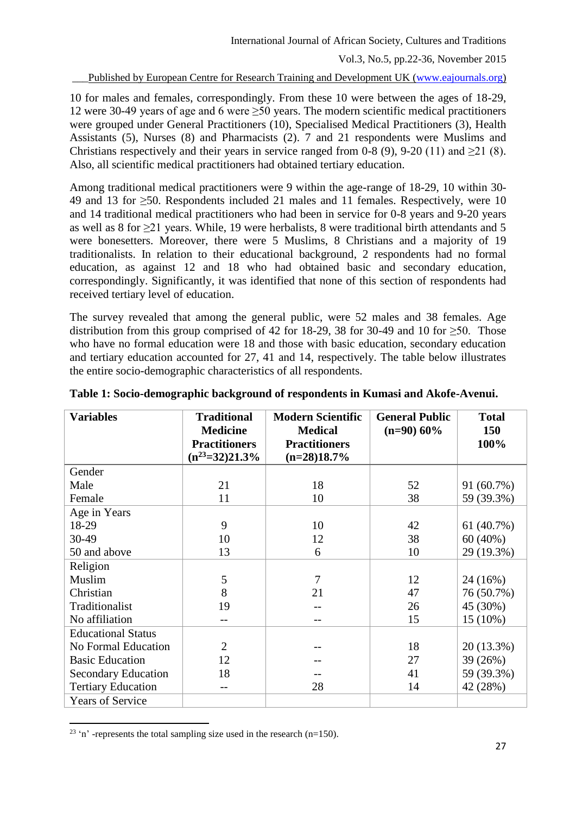Published by European Centre for Research Training and Development UK [\(www.eajournals.org\)](http://www.eajournals.org/)

10 for males and females, correspondingly. From these 10 were between the ages of 18-29, 12 were 30-49 years of age and 6 were  $\geq$ 50 years. The modern scientific medical practitioners were grouped under General Practitioners (10), Specialised Medical Practitioners (3), Health Assistants (5), Nurses (8) and Pharmacists (2). 7 and 21 respondents were Muslims and Christians respectively and their years in service ranged from 0-8 (9), 9-20 (11) and  $\geq$  21 (8). Also, all scientific medical practitioners had obtained tertiary education.

Among traditional medical practitioners were 9 within the age-range of 18-29, 10 within 30- 49 and 13 for ≥50. Respondents included 21 males and 11 females. Respectively, were 10 and 14 traditional medical practitioners who had been in service for 0-8 years and 9-20 years as well as 8 for ≥21 years. While, 19 were herbalists, 8 were traditional birth attendants and 5 were bonesetters. Moreover, there were 5 Muslims, 8 Christians and a majority of 19 traditionalists. In relation to their educational background, 2 respondents had no formal education, as against 12 and 18 who had obtained basic and secondary education, correspondingly. Significantly, it was identified that none of this section of respondents had received tertiary level of education.

The survey revealed that among the general public, were 52 males and 38 females. Age distribution from this group comprised of 42 for 18-29, 38 for 30-49 and 10 for  $\geq 50$ . Those who have no formal education were 18 and those with basic education, secondary education and tertiary education accounted for 27, 41 and 14, respectively. The table below illustrates the entire socio-demographic characteristics of all respondents.

| <b>Variables</b>           | <b>Traditional</b><br><b>Medicine</b><br><b>Practitioners</b><br>$(n^{23}=32)21.3\%$ | <b>Modern Scientific</b><br><b>Medical</b><br><b>Practitioners</b><br>$(n=28)18.7%$ | <b>General Public</b><br>$(n=90)$ 60% | <b>Total</b><br>150<br>100% |
|----------------------------|--------------------------------------------------------------------------------------|-------------------------------------------------------------------------------------|---------------------------------------|-----------------------------|
| Gender                     |                                                                                      |                                                                                     |                                       |                             |
| Male                       | 21                                                                                   | 18                                                                                  | 52                                    | 91 (60.7%)                  |
| Female                     | 11                                                                                   | 10                                                                                  | 38                                    | 59 (39.3%)                  |
| Age in Years               |                                                                                      |                                                                                     |                                       |                             |
| 18-29                      | 9                                                                                    | 10                                                                                  | 42                                    | 61(40.7%)                   |
| 30-49                      | 10                                                                                   | 12                                                                                  | 38                                    | $60(40\%)$                  |
| 50 and above               | 13                                                                                   | 6                                                                                   | 10                                    | 29 (19.3%)                  |
| Religion                   |                                                                                      |                                                                                     |                                       |                             |
| Muslim                     | 5                                                                                    | 7                                                                                   | 12                                    | 24 (16%)                    |
| Christian                  | 8                                                                                    | 21                                                                                  | 47                                    | 76 (50.7%)                  |
| Traditionalist             | 19                                                                                   |                                                                                     | 26                                    | 45 (30%)                    |
| No affiliation             |                                                                                      |                                                                                     | 15                                    | $15(10\%)$                  |
| <b>Educational Status</b>  |                                                                                      |                                                                                     |                                       |                             |
| No Formal Education        | $\overline{2}$                                                                       |                                                                                     | 18                                    | 20 (13.3%)                  |
| <b>Basic Education</b>     | 12                                                                                   |                                                                                     | 27                                    | 39 (26%)                    |
| <b>Secondary Education</b> | 18                                                                                   |                                                                                     | 41                                    | 59 (39.3%)                  |
| <b>Tertiary Education</b>  |                                                                                      | 28                                                                                  | 14                                    | 42 (28%)                    |
| <b>Years of Service</b>    |                                                                                      |                                                                                     |                                       |                             |

**Table 1: Socio-demographic background of respondents in Kumasi and Akofe-Avenui.**

**<sup>.</sup>** <sup>23</sup> 'n' -represents the total sampling size used in the research (n=150).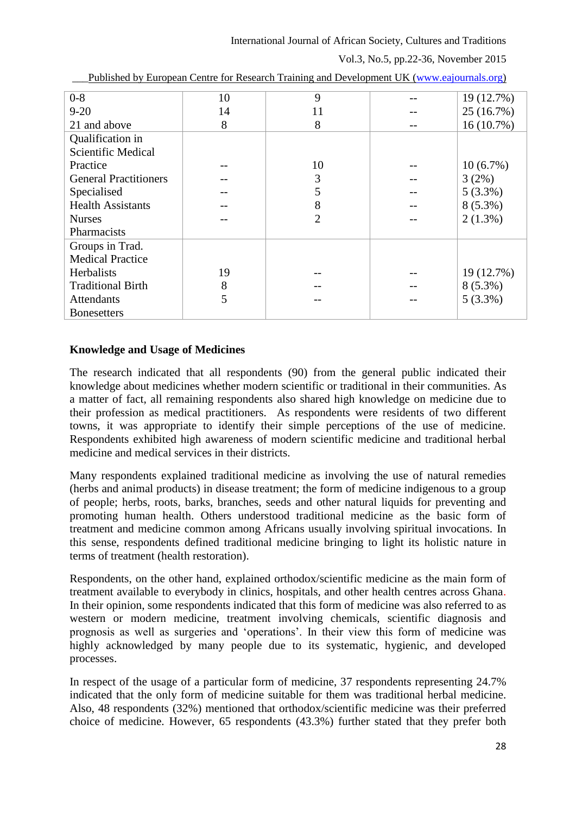International Journal of African Society, Cultures and Traditions

Vol.3, No.5, pp.22-36, November 2015

| $0 - 8$                      | 10 | 9              | 19 (12.7%)   |
|------------------------------|----|----------------|--------------|
| $9 - 20$                     | 14 | 11             | 25 (16.7%)   |
| 21 and above                 | 8  | 8              | $16(10.7\%)$ |
| Qualification in             |    |                |              |
| Scientific Medical           |    |                |              |
| Practice                     |    | 10             | $10(6.7\%)$  |
| <b>General Practitioners</b> |    | 3              | 3(2%)        |
| Specialised                  |    | 5              | $5(3.3\%)$   |
| <b>Health Assistants</b>     |    | 8              | $8(5.3\%)$   |
| <b>Nurses</b>                |    | $\overline{2}$ | $2(1.3\%)$   |
| Pharmacists                  |    |                |              |
| Groups in Trad.              |    |                |              |
| <b>Medical Practice</b>      |    |                |              |
| <b>Herbalists</b>            | 19 |                | 19 (12.7%)   |
| <b>Traditional Birth</b>     | 8  |                | $8(5.3\%)$   |
| <b>Attendants</b>            | 5  |                | $5(3.3\%)$   |
| <b>Bonesetters</b>           |    |                |              |
|                              |    |                |              |

Published by European Centre for Research Training and Development UK [\(www.eajournals.org\)](http://www.eajournals.org/)

# **Knowledge and Usage of Medicines**

The research indicated that all respondents (90) from the general public indicated their knowledge about medicines whether modern scientific or traditional in their communities. As a matter of fact, all remaining respondents also shared high knowledge on medicine due to their profession as medical practitioners. As respondents were residents of two different towns, it was appropriate to identify their simple perceptions of the use of medicine. Respondents exhibited high awareness of modern scientific medicine and traditional herbal medicine and medical services in their districts.

Many respondents explained traditional medicine as involving the use of natural remedies (herbs and animal products) in disease treatment; the form of medicine indigenous to a group of people; herbs, roots, barks, branches, seeds and other natural liquids for preventing and promoting human health. Others understood traditional medicine as the basic form of treatment and medicine common among Africans usually involving spiritual invocations. In this sense, respondents defined traditional medicine bringing to light its holistic nature in terms of treatment (health restoration).

Respondents, on the other hand, explained orthodox/scientific medicine as the main form of treatment available to everybody in clinics, hospitals, and other health centres across Ghana. In their opinion, some respondents indicated that this form of medicine was also referred to as western or modern medicine, treatment involving chemicals, scientific diagnosis and prognosis as well as surgeries and 'operations'. In their view this form of medicine was highly acknowledged by many people due to its systematic, hygienic, and developed processes.

In respect of the usage of a particular form of medicine, 37 respondents representing 24.7% indicated that the only form of medicine suitable for them was traditional herbal medicine. Also, 48 respondents (32%) mentioned that orthodox/scientific medicine was their preferred choice of medicine. However, 65 respondents (43.3%) further stated that they prefer both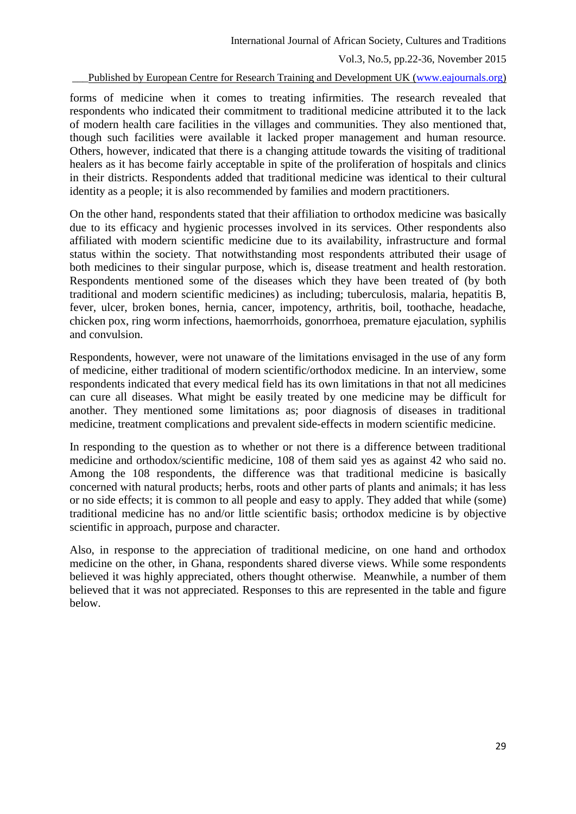Published by European Centre for Research Training and Development UK [\(www.eajournals.org\)](http://www.eajournals.org/)

forms of medicine when it comes to treating infirmities. The research revealed that respondents who indicated their commitment to traditional medicine attributed it to the lack of modern health care facilities in the villages and communities. They also mentioned that, though such facilities were available it lacked proper management and human resource. Others, however, indicated that there is a changing attitude towards the visiting of traditional healers as it has become fairly acceptable in spite of the proliferation of hospitals and clinics in their districts. Respondents added that traditional medicine was identical to their cultural identity as a people; it is also recommended by families and modern practitioners.

On the other hand, respondents stated that their affiliation to orthodox medicine was basically due to its efficacy and hygienic processes involved in its services. Other respondents also affiliated with modern scientific medicine due to its availability, infrastructure and formal status within the society. That notwithstanding most respondents attributed their usage of both medicines to their singular purpose, which is, disease treatment and health restoration. Respondents mentioned some of the diseases which they have been treated of (by both traditional and modern scientific medicines) as including; tuberculosis, malaria, hepatitis B, fever, ulcer, broken bones, hernia, cancer, impotency, arthritis, boil, toothache, headache, chicken pox, ring worm infections, haemorrhoids, gonorrhoea, premature ejaculation, syphilis and convulsion.

Respondents, however, were not unaware of the limitations envisaged in the use of any form of medicine, either traditional of modern scientific/orthodox medicine. In an interview, some respondents indicated that every medical field has its own limitations in that not all medicines can cure all diseases. What might be easily treated by one medicine may be difficult for another. They mentioned some limitations as; poor diagnosis of diseases in traditional medicine, treatment complications and prevalent side-effects in modern scientific medicine.

In responding to the question as to whether or not there is a difference between traditional medicine and orthodox/scientific medicine, 108 of them said yes as against 42 who said no. Among the 108 respondents, the difference was that traditional medicine is basically concerned with natural products; herbs, roots and other parts of plants and animals; it has less or no side effects; it is common to all people and easy to apply. They added that while (some) traditional medicine has no and/or little scientific basis; orthodox medicine is by objective scientific in approach, purpose and character.

Also, in response to the appreciation of traditional medicine, on one hand and orthodox medicine on the other, in Ghana, respondents shared diverse views. While some respondents believed it was highly appreciated, others thought otherwise. Meanwhile, a number of them believed that it was not appreciated. Responses to this are represented in the table and figure below.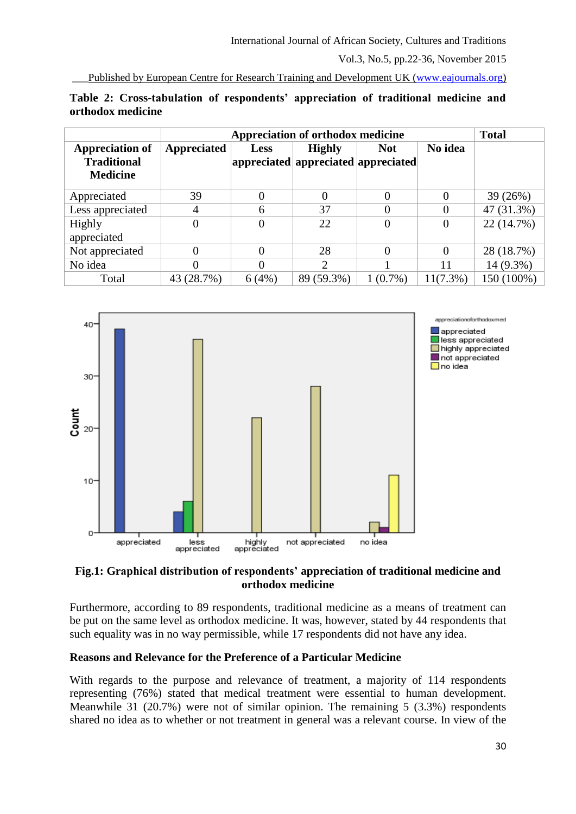Published by European Centre for Research Training and Development UK [\(www.eajournals.org\)](http://www.eajournals.org/)

|                                                                 |                | <b>Total</b>   |                                                      |            |             |            |
|-----------------------------------------------------------------|----------------|----------------|------------------------------------------------------|------------|-------------|------------|
| <b>Appreciation of</b><br><b>Traditional</b><br><b>Medicine</b> | Appreciated    | <b>Less</b>    | <b>Highly</b><br>appreciated appreciated appreciated | <b>Not</b> | No idea     |            |
| Appreciated                                                     | 39             | $\overline{0}$ | 0                                                    | $\theta$   | 0           | 39(26%)    |
| Less appreciated                                                | 4              | 6              | 37                                                   | 0          | 0           | 47 (31.3%) |
| Highly<br>appreciated                                           | $\overline{0}$ | $\overline{0}$ | 22                                                   | 0          | 0           | 22 (14.7%) |
| Not appreciated                                                 | 0              | $\Omega$       | 28                                                   | 0          | 0           | 28 (18.7%) |
| No idea                                                         | 0              | 0              | ↑                                                    |            | 11          | 14 (9.3%)  |
| Total                                                           | 43 (28.7%)     | 6(4%)          | 89 (59.3%)                                           | $1(0.7\%)$ | $11(7.3\%)$ | 150 (100%) |

| Table 2: Cross-tabulation of respondents' appreciation of traditional medicine and |  |  |  |
|------------------------------------------------------------------------------------|--|--|--|
| orthodox medicine                                                                  |  |  |  |



## **Fig.1: Graphical distribution of respondents' appreciation of traditional medicine and orthodox medicine**

Furthermore, according to 89 respondents, traditional medicine as a means of treatment can be put on the same level as orthodox medicine. It was, however, stated by 44 respondents that such equality was in no way permissible, while 17 respondents did not have any idea.

# **Reasons and Relevance for the Preference of a Particular Medicine**

With regards to the purpose and relevance of treatment, a majority of 114 respondents representing (76%) stated that medical treatment were essential to human development. Meanwhile 31 (20.7%) were not of similar opinion. The remaining 5 (3.3%) respondents shared no idea as to whether or not treatment in general was a relevant course. In view of the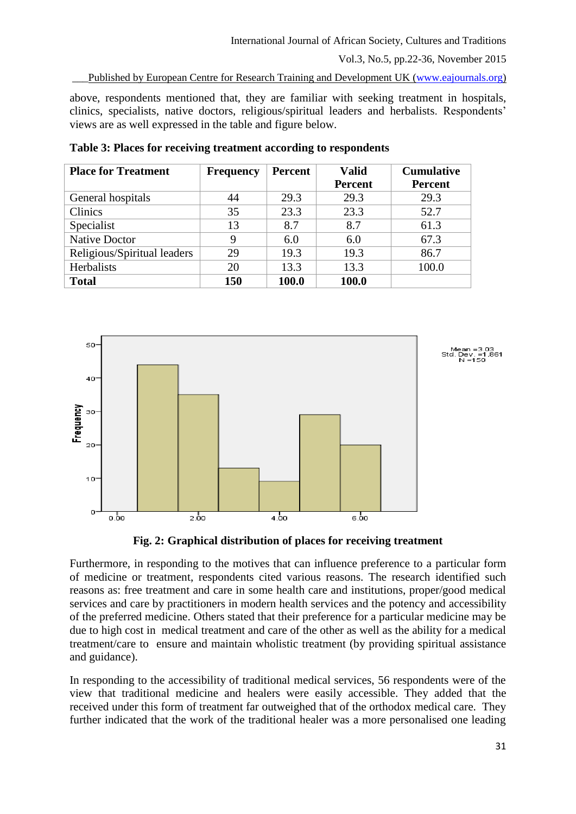Published by European Centre for Research Training and Development UK [\(www.eajournals.org\)](http://www.eajournals.org/)

above, respondents mentioned that, they are familiar with seeking treatment in hospitals, clinics, specialists, native doctors, religious/spiritual leaders and herbalists. Respondents' views are as well expressed in the table and figure below.

| <b>Place for Treatment</b>  | <b>Frequency</b> | Percent | <b>Valid</b><br><b>Percent</b> | <b>Cumulative</b><br><b>Percent</b> |
|-----------------------------|------------------|---------|--------------------------------|-------------------------------------|
| General hospitals           | 44               | 29.3    | 29.3                           | 29.3                                |
| Clinics                     | 35               | 23.3    | 23.3                           | 52.7                                |
| Specialist                  | 13               | 8.7     | 8.7                            | 61.3                                |
| <b>Native Doctor</b>        | 9                | 6.0     | 6.0                            | 67.3                                |
| Religious/Spiritual leaders | 29               | 19.3    | 19.3                           | 86.7                                |
| Herbalists                  | 20               | 13.3    | 13.3                           | 100.0                               |
| <b>Total</b>                | 150              | 100.0   | 100.0                          |                                     |

**Table 3: Places for receiving treatment according to respondents**



**Fig. 2: Graphical distribution of places for receiving treatment**

Furthermore, in responding to the motives that can influence preference to a particular form of medicine or treatment, respondents cited various reasons. The research identified such reasons as: free treatment and care in some health care and institutions, proper/good medical services and care by practitioners in modern health services and the potency and accessibility of the preferred medicine. Others stated that their preference for a particular medicine may be due to high cost in medical treatment and care of the other as well as the ability for a medical treatment/care to ensure and maintain wholistic treatment (by providing spiritual assistance and guidance).

In responding to the accessibility of traditional medical services, 56 respondents were of the view that traditional medicine and healers were easily accessible. They added that the received under this form of treatment far outweighed that of the orthodox medical care. They further indicated that the work of the traditional healer was a more personalised one leading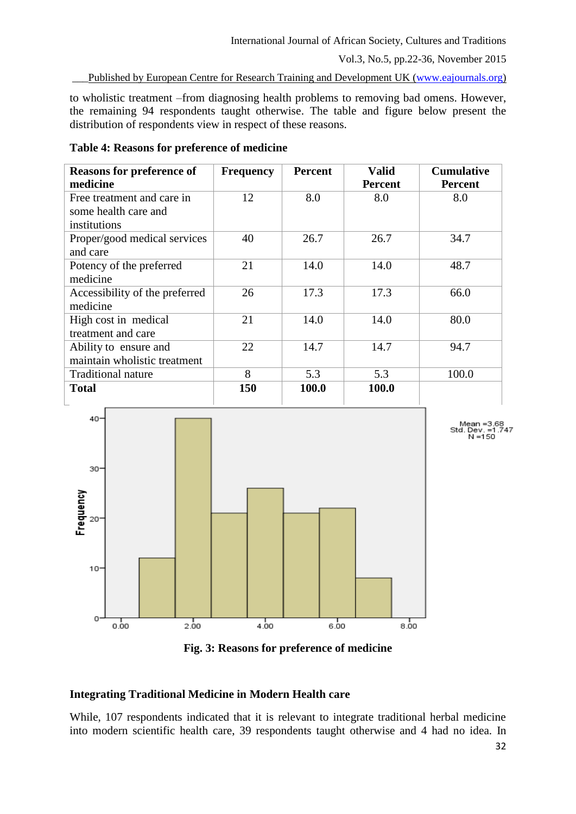#### International Journal of African Society, Cultures and Traditions

Vol.3, No.5, pp.22-36, November 2015

Published by European Centre for Research Training and Development UK [\(www.eajournals.org\)](http://www.eajournals.org/)

to wholistic treatment –from diagnosing health problems to removing bad omens. However, the remaining 94 respondents taught otherwise. The table and figure below present the distribution of respondents view in respect of these reasons.

| <b>Reasons for preference of</b><br>medicine                       | <b>Frequency</b> | <b>Percent</b> | <b>Valid</b><br><b>Percent</b> | <b>Cumulative</b><br><b>Percent</b> |
|--------------------------------------------------------------------|------------------|----------------|--------------------------------|-------------------------------------|
| Free treatment and care in<br>some health care and<br>institutions | 12               | 8.0            | 8.0                            | 8.0                                 |
| Proper/good medical services<br>and care                           | 40               | 26.7           | 26.7                           | 34.7                                |
| Potency of the preferred<br>medicine                               | 21               | 14.0           | 14.0                           | 48.7                                |
| Accessibility of the preferred<br>medicine                         | 26               | 17.3           | 17.3                           | 66.0                                |
| High cost in medical<br>treatment and care                         | 21               | 14.0           | 14.0                           | 80.0                                |
| Ability to ensure and<br>maintain wholistic treatment              | 22               | 14.7           | 14.7                           | 94.7                                |
| <b>Traditional nature</b>                                          | 8                | 5.3            | 5.3                            | 100.0                               |
| Total                                                              | 150              | 100.0          | 100.0                          |                                     |

**Table 4: Reasons for preference of medicine**





### **Integrating Traditional Medicine in Modern Health care**

While, 107 respondents indicated that it is relevant to integrate traditional herbal medicine into modern scientific health care, 39 respondents taught otherwise and 4 had no idea. In

Mean =3.68<br>Std. Dev. =1.747<br>N =150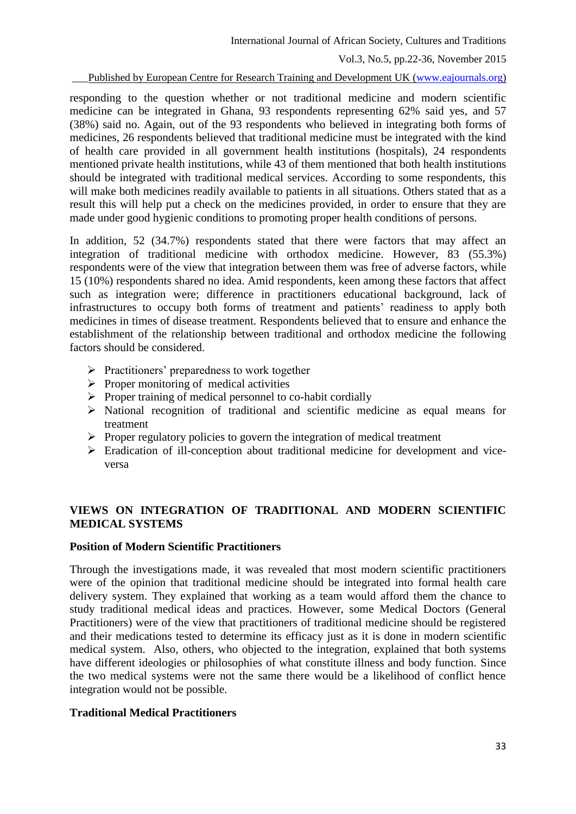International Journal of African Society, Cultures and Traditions

Vol.3, No.5, pp.22-36, November 2015

Published by European Centre for Research Training and Development UK [\(www.eajournals.org\)](http://www.eajournals.org/)

responding to the question whether or not traditional medicine and modern scientific medicine can be integrated in Ghana, 93 respondents representing 62% said yes, and 57 (38%) said no. Again, out of the 93 respondents who believed in integrating both forms of medicines, 26 respondents believed that traditional medicine must be integrated with the kind of health care provided in all government health institutions (hospitals), 24 respondents mentioned private health institutions, while 43 of them mentioned that both health institutions should be integrated with traditional medical services. According to some respondents, this will make both medicines readily available to patients in all situations. Others stated that as a result this will help put a check on the medicines provided, in order to ensure that they are made under good hygienic conditions to promoting proper health conditions of persons.

In addition, 52 (34.7%) respondents stated that there were factors that may affect an integration of traditional medicine with orthodox medicine. However, 83 (55.3%) respondents were of the view that integration between them was free of adverse factors, while 15 (10%) respondents shared no idea. Amid respondents, keen among these factors that affect such as integration were; difference in practitioners educational background, lack of infrastructures to occupy both forms of treatment and patients' readiness to apply both medicines in times of disease treatment. Respondents believed that to ensure and enhance the establishment of the relationship between traditional and orthodox medicine the following factors should be considered.

- $\triangleright$  Practitioners' preparedness to work together
- $\triangleright$  Proper monitoring of medical activities
- $\triangleright$  Proper training of medical personnel to co-habit cordially
- $\triangleright$  National recognition of traditional and scientific medicine as equal means for treatment
- $\triangleright$  Proper regulatory policies to govern the integration of medical treatment
- Eradication of ill-conception about traditional medicine for development and viceversa

# **VIEWS ON INTEGRATION OF TRADITIONAL AND MODERN SCIENTIFIC MEDICAL SYSTEMS**

### **Position of Modern Scientific Practitioners**

Through the investigations made, it was revealed that most modern scientific practitioners were of the opinion that traditional medicine should be integrated into formal health care delivery system. They explained that working as a team would afford them the chance to study traditional medical ideas and practices. However, some Medical Doctors (General Practitioners) were of the view that practitioners of traditional medicine should be registered and their medications tested to determine its efficacy just as it is done in modern scientific medical system. Also, others, who objected to the integration, explained that both systems have different ideologies or philosophies of what constitute illness and body function. Since the two medical systems were not the same there would be a likelihood of conflict hence integration would not be possible.

### **Traditional Medical Practitioners**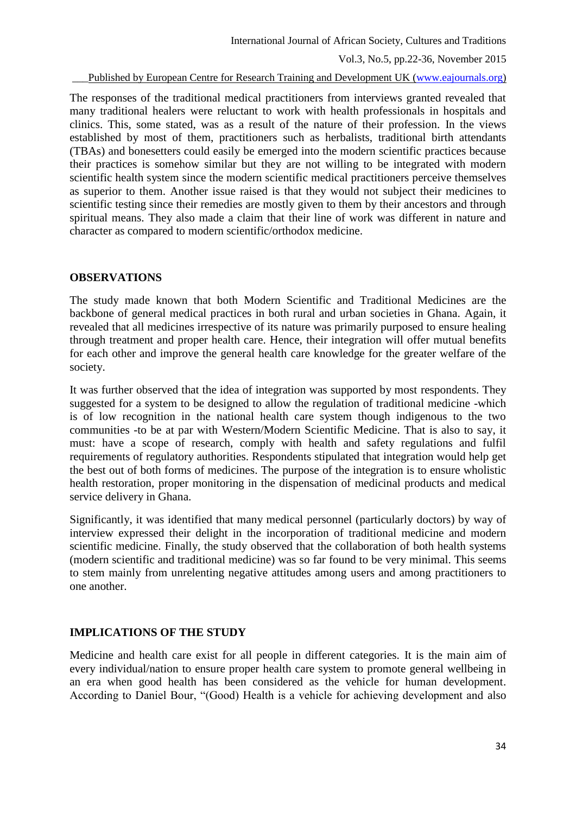Published by European Centre for Research Training and Development UK [\(www.eajournals.org\)](http://www.eajournals.org/)

The responses of the traditional medical practitioners from interviews granted revealed that many traditional healers were reluctant to work with health professionals in hospitals and clinics. This, some stated, was as a result of the nature of their profession. In the views established by most of them, practitioners such as herbalists, traditional birth attendants (TBAs) and bonesetters could easily be emerged into the modern scientific practices because their practices is somehow similar but they are not willing to be integrated with modern scientific health system since the modern scientific medical practitioners perceive themselves as superior to them. Another issue raised is that they would not subject their medicines to scientific testing since their remedies are mostly given to them by their ancestors and through spiritual means. They also made a claim that their line of work was different in nature and character as compared to modern scientific/orthodox medicine.

### **OBSERVATIONS**

The study made known that both Modern Scientific and Traditional Medicines are the backbone of general medical practices in both rural and urban societies in Ghana. Again, it revealed that all medicines irrespective of its nature was primarily purposed to ensure healing through treatment and proper health care. Hence, their integration will offer mutual benefits for each other and improve the general health care knowledge for the greater welfare of the society.

It was further observed that the idea of integration was supported by most respondents. They suggested for a system to be designed to allow the regulation of traditional medicine -which is of low recognition in the national health care system though indigenous to the two communities -to be at par with Western/Modern Scientific Medicine. That is also to say, it must: have a scope of research, comply with health and safety regulations and fulfil requirements of regulatory authorities. Respondents stipulated that integration would help get the best out of both forms of medicines. The purpose of the integration is to ensure wholistic health restoration, proper monitoring in the dispensation of medicinal products and medical service delivery in Ghana.

Significantly, it was identified that many medical personnel (particularly doctors) by way of interview expressed their delight in the incorporation of traditional medicine and modern scientific medicine. Finally, the study observed that the collaboration of both health systems (modern scientific and traditional medicine) was so far found to be very minimal. This seems to stem mainly from unrelenting negative attitudes among users and among practitioners to one another.

### **IMPLICATIONS OF THE STUDY**

Medicine and health care exist for all people in different categories. It is the main aim of every individual/nation to ensure proper health care system to promote general wellbeing in an era when good health has been considered as the vehicle for human development. According to Daniel Bour, "(Good) Health is a vehicle for achieving development and also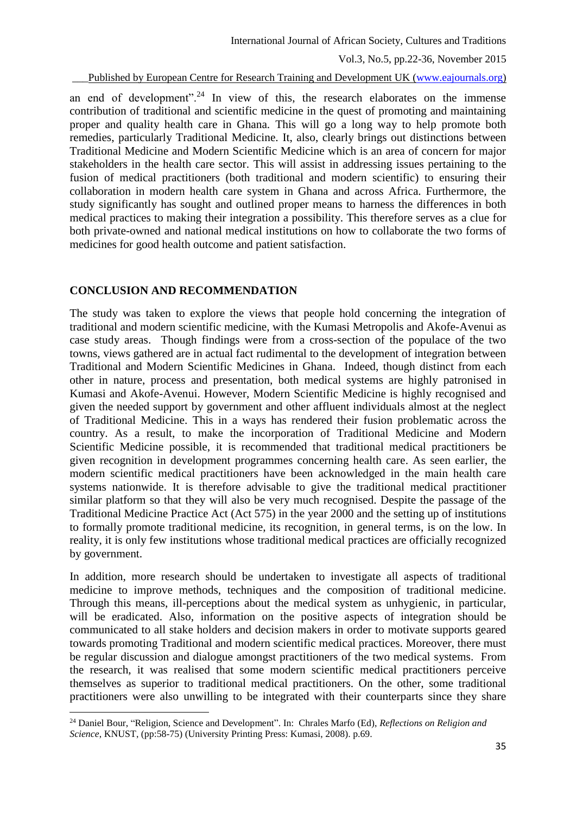Published by European Centre for Research Training and Development UK [\(www.eajournals.org\)](http://www.eajournals.org/)

an end of development".<sup>24</sup> In view of this, the research elaborates on the immense contribution of traditional and scientific medicine in the quest of promoting and maintaining proper and quality health care in Ghana. This will go a long way to help promote both remedies, particularly Traditional Medicine. It, also, clearly brings out distinctions between Traditional Medicine and Modern Scientific Medicine which is an area of concern for major stakeholders in the health care sector. This will assist in addressing issues pertaining to the fusion of medical practitioners (both traditional and modern scientific) to ensuring their collaboration in modern health care system in Ghana and across Africa. Furthermore, the study significantly has sought and outlined proper means to harness the differences in both medical practices to making their integration a possibility. This therefore serves as a clue for both private-owned and national medical institutions on how to collaborate the two forms of medicines for good health outcome and patient satisfaction.

#### **CONCLUSION AND RECOMMENDATION**

**.** 

The study was taken to explore the views that people hold concerning the integration of traditional and modern scientific medicine, with the Kumasi Metropolis and Akofe-Avenui as case study areas. Though findings were from a cross-section of the populace of the two towns, views gathered are in actual fact rudimental to the development of integration between Traditional and Modern Scientific Medicines in Ghana. Indeed, though distinct from each other in nature, process and presentation, both medical systems are highly patronised in Kumasi and Akofe-Avenui. However, Modern Scientific Medicine is highly recognised and given the needed support by government and other affluent individuals almost at the neglect of Traditional Medicine. This in a ways has rendered their fusion problematic across the country. As a result, to make the incorporation of Traditional Medicine and Modern Scientific Medicine possible, it is recommended that traditional medical practitioners be given recognition in development programmes concerning health care. As seen earlier, the modern scientific medical practitioners have been acknowledged in the main health care systems nationwide. It is therefore advisable to give the traditional medical practitioner similar platform so that they will also be very much recognised. Despite the passage of the Traditional Medicine Practice Act (Act 575) in the year 2000 and the setting up of institutions to formally promote traditional medicine, its recognition, in general terms, is on the low. In reality, it is only few institutions whose traditional medical practices are officially recognized by government.

In addition, more research should be undertaken to investigate all aspects of traditional medicine to improve methods, techniques and the composition of traditional medicine. Through this means, ill-perceptions about the medical system as unhygienic, in particular, will be eradicated. Also, information on the positive aspects of integration should be communicated to all stake holders and decision makers in order to motivate supports geared towards promoting Traditional and modern scientific medical practices. Moreover, there must be regular discussion and dialogue amongst practitioners of the two medical systems. From the research, it was realised that some modern scientific medical practitioners perceive themselves as superior to traditional medical practitioners. On the other, some traditional practitioners were also unwilling to be integrated with their counterparts since they share

<sup>24</sup> Daniel Bour, "Religion, Science and Development". In: Chrales Marfo (Ed), *Reflections on Religion and Science*, KNUST, (pp:58-75) (University Printing Press: Kumasi, 2008). p.69.